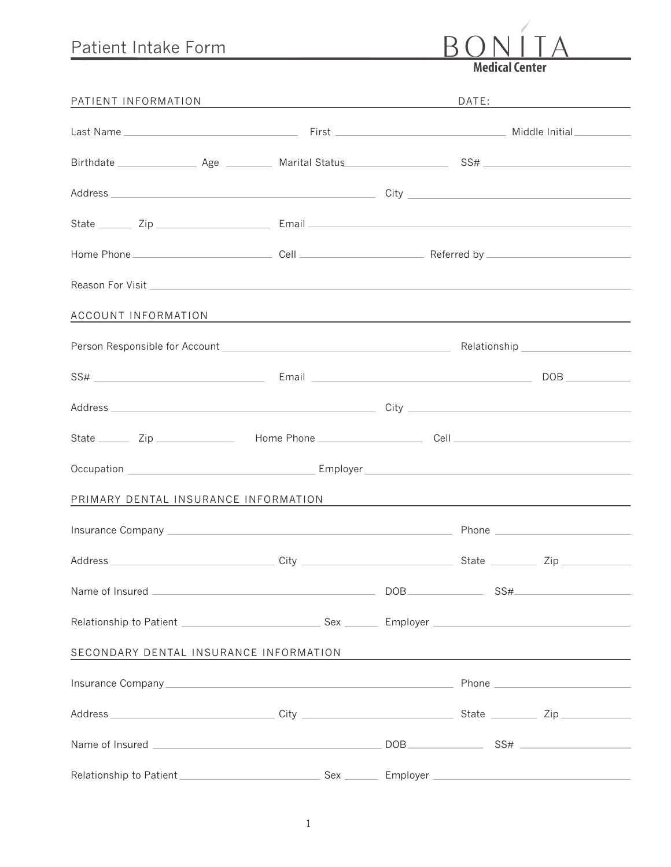## Patient Intake Form

**Medical Center** 

 $B($ 

| PATIENT INFORMATION                  | <u> 1989 - Johann Stein, mars an deus an deus Angelsen (b. 1989)</u> | DATE: |  |                                               |
|--------------------------------------|----------------------------------------------------------------------|-------|--|-----------------------------------------------|
|                                      |                                                                      |       |  |                                               |
|                                      |                                                                      |       |  |                                               |
|                                      |                                                                      |       |  |                                               |
|                                      |                                                                      |       |  |                                               |
|                                      |                                                                      |       |  |                                               |
|                                      |                                                                      |       |  |                                               |
|                                      | ACCOUNT INFORMATION AND ACCOUNT INFORMATION                          |       |  |                                               |
|                                      |                                                                      |       |  |                                               |
|                                      | $SS#$ DOB DOB                                                        |       |  |                                               |
|                                      |                                                                      |       |  |                                               |
|                                      |                                                                      |       |  |                                               |
|                                      |                                                                      |       |  |                                               |
| PRIMARY DENTAL INSURANCE INFORMATION |                                                                      |       |  | <u> 1980 - Andrea Andrew Maria (h. 1980).</u> |
|                                      |                                                                      |       |  |                                               |
|                                      |                                                                      |       |  |                                               |
|                                      |                                                                      | DOB   |  | SS#                                           |
|                                      |                                                                      |       |  |                                               |
|                                      | SECONDARY DENTAL INSURANCE INFORMATION                               |       |  | <u> 1980 - Andrea Andrew Maria (h. 1980).</u> |
|                                      |                                                                      |       |  |                                               |
|                                      |                                                                      |       |  |                                               |
|                                      |                                                                      |       |  |                                               |
|                                      |                                                                      |       |  |                                               |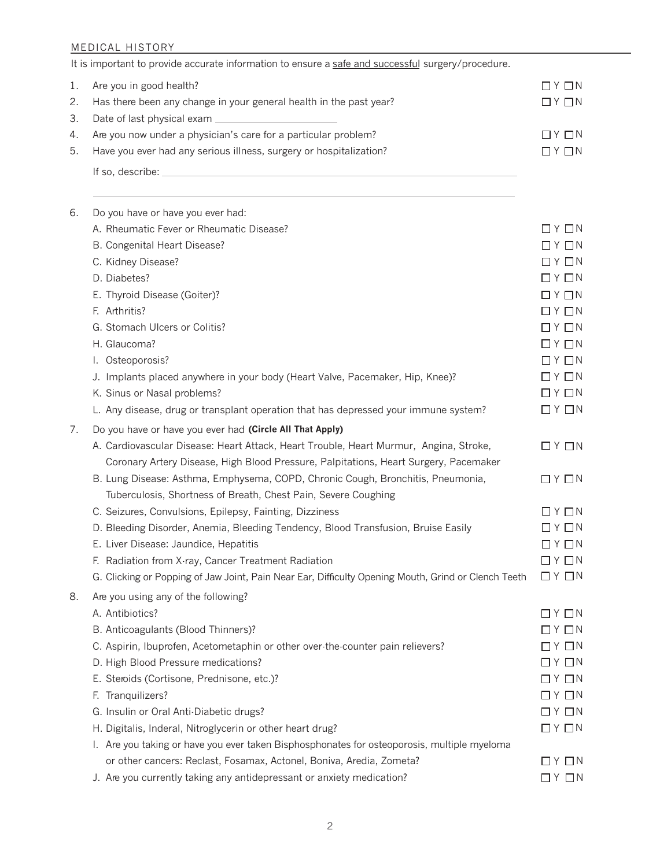## MEDICAL HISTORY

|    | It is important to provide accurate information to ensure a safe and successful surgery/procedure.  |                                     |
|----|-----------------------------------------------------------------------------------------------------|-------------------------------------|
| 1. | Are you in good health?                                                                             | $\Box$ $Y$ $\Box$ $N$               |
| 2. | Has there been any change in your general health in the past year?                                  | $\Box$ $Y$ $\Box$ $N$               |
| 3. |                                                                                                     |                                     |
| 4. | Are you now under a physician's care for a particular problem?                                      | $\Box$ $Y$ $\Box$ $N$               |
| 5. | Have you ever had any serious illness, surgery or hospitalization?                                  | $\Box$ $Y$ $\Box$ $N$               |
|    |                                                                                                     |                                     |
|    |                                                                                                     |                                     |
| 6. | Do you have or have you ever had:                                                                   |                                     |
|    | A. Rheumatic Fever or Rheumatic Disease?                                                            | $\Box$ Y $\Box$ N                   |
|    | B. Congenital Heart Disease?                                                                        | $\Box$ $Y$ $\Box$ $N$               |
|    | C. Kidney Disease?                                                                                  | $\Box$ $Y$ $\Box$ $N$               |
|    | D. Diabetes?                                                                                        | $\Box$ $\Upsilon$ $\Box$ $N$        |
|    | E. Thyroid Disease (Goiter)?                                                                        | $\Box$ Y $\Box$ N                   |
|    | F. Arthritis?                                                                                       | $\Box$ $Y$ $\Box$ $N$               |
|    | G. Stomach Ulcers or Colitis?                                                                       | $\Box$ $Y$ $\Box$ $N$               |
|    | H. Glaucoma?                                                                                        | $\Box$ $Y$ $\Box$ $N$               |
|    | I. Osteoporosis?                                                                                    | $\Box$ $Y$ $\Box$ $N$               |
|    | J. Implants placed anywhere in your body (Heart Valve, Pacemaker, Hip, Knee)?                       | $\Box$ $\vee$ $\Box$ $\vee$         |
|    | K. Sinus or Nasal problems?                                                                         | $\Box$ $Y$ $\Box$ $N$               |
|    | L. Any disease, drug or transplant operation that has depressed your immune system?                 | $\Box$ $Y$ $\Box$ $N$               |
| 7. | Do you have or have you ever had (Circle All That Apply)                                            |                                     |
|    | A. Cardiovascular Disease: Heart Attack, Heart Trouble, Heart Murmur, Angina, Stroke,               | $\Box$ $Y$ $\Box$ $N$               |
|    | Coronary Artery Disease, High Blood Pressure, Palpitations, Heart Surgery, Pacemaker                |                                     |
|    | B. Lung Disease: Asthma, Emphysema, COPD, Chronic Cough, Bronchitis, Pneumonia,                     | $\Box$ $Y$ $\Box$ $N$               |
|    | Tuberculosis, Shortness of Breath, Chest Pain, Severe Coughing                                      |                                     |
|    | C. Seizures, Convulsions, Epilepsy, Fainting, Dizziness                                             | $\Box$ $Y$ $\Box$ $N$               |
|    | D. Bleeding Disorder, Anemia, Bleeding Tendency, Blood Transfusion, Bruise Easily                   | $\Box$ $Y$ $\Box$ $N$               |
|    | E. Liver Disease: Jaundice, Hepatitis                                                               | $\Box$ $Y$ $\Box$ $N$               |
|    | F. Radiation from X-ray, Cancer Treatment Radiation                                                 | $\Box$ $Y$ $\Box$ $N$               |
|    | G. Clicking or Popping of Jaw Joint, Pain Near Ear, Difficulty Opening Mouth, Grind or Clench Teeth | $\Box$ $\Upsilon$ $\Box$ $\Upsilon$ |
| 8. | Are you using any of the following?                                                                 |                                     |
|    | A. Antibiotics?                                                                                     | $\Box$ $Y$ $\Box$ $N$               |
|    | B. Anticoagulants (Blood Thinners)?                                                                 | $\Box$ $Y$ $\Box$ $N$               |
|    | C. Aspirin, Ibuprofen, Acetometaphin or other over-the-counter pain relievers?                      | $\Box$ Y $\Box$ N                   |
|    | D. High Blood Pressure medications?                                                                 | $\Box$ $Y$ $\Box$ $N$               |
|    | E. Steroids (Cortisone, Prednisone, etc.)?                                                          | $\Box$ $Y$ $\Box$ $N$               |
|    | F. Tranquilizers?                                                                                   | $\Box$ $Y$ $\Box$ $N$               |
|    | G. Insulin or Oral Anti-Diabetic drugs?                                                             | $\Box$ $\vee$ $\Box$ $\wedge$       |
|    | H. Digitalis, Inderal, Nitroglycerin or other heart drug?                                           | $\Box$ $Y$ $\Box$ $N$               |
|    | I. Are you taking or have you ever taken Bisphosphonates for osteoporosis, multiple myeloma         |                                     |
|    | or other cancers: Reclast, Fosamax, Actonel, Boniva, Aredia, Zometa?                                | $\Box$ $\vee$ $\Box$ $\vee$         |
|    | J. Are you currently taking any antidepressant or anxiety medication?                               | $\Box$ $Y$ $\Box$ $N$               |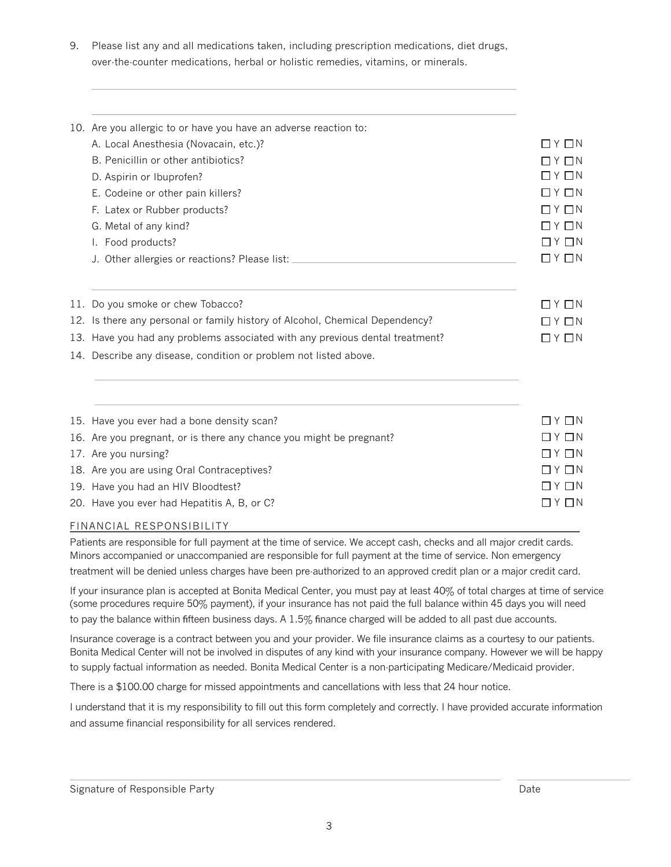9. Please list any and all medications taken, including prescription medications, diet drugs, over-the-counter medications, herbal or holistic remedies, vitamins, or minerals.

| 10. Are you allergic to or have you have an adverse reaction to:                 |                                     |
|----------------------------------------------------------------------------------|-------------------------------------|
| A. Local Anesthesia (Novacain, etc.)?                                            | $\Box$ $\vee$ $\Box$ $\wedge$       |
| B. Penicillin or other antibiotics?                                              | $\Box$ $\vee$ $\Box$ $\wedge$       |
| D. Aspirin or Ibuprofen?                                                         | $\Box$ $\Upsilon$ $\Box$ $\Upsilon$ |
| E. Codeine or other pain killers?                                                | $\Box$ $Y$ $\Box$ $N$               |
| F. Latex or Rubber products?                                                     | $\Box$ $Y$ $\Box$ $N$               |
| G. Metal of any kind?                                                            | $\Box$ $\lor$ $\Box$ $\lor$         |
| I. Food products?                                                                | $\Box$ $\Upsilon$ $\Box$ $\Upsilon$ |
| J. Other allergies or reactions? Please list: __________________________________ | $\Box$ $Y$ $\Box$ $N$               |
| 11. Do you smoke or chew Tobacco?                                                | $\Box$ $Y$ $\Box$ $N$               |
| 12. Is there any personal or family history of Alcohol, Chemical Dependency?     | $\Box$ $\vee$ $\Box$ $\wedge$       |
| 13. Have you had any problems associated with any previous dental treatment?     | $\Box$ $\vee$ $\Box$ $\wedge$       |
| 14. Describe any disease, condition or problem not listed above.                 |                                     |
|                                                                                  |                                     |
| 15. Have you ever had a bone density scan?                                       | $\Box$ $\vee$ $\Box$ $\wedge$       |
| 16. Are you pregnant, or is there any chance you might be pregnant?              | $\Box$ y $\Box$ N                   |
| 17. Are you nursing?                                                             | $\Box$ $\lor$ $\Box$ $\land$        |
| 18. Are you are using Oral Contraceptives?                                       | $\Box$ $Y$ $\Box$ $N$               |
| 19. Have you had an HIV Bloodtest?                                               | $\Box$ Y $\Box$ N                   |

## 20. Have you ever had Hepatitis A, B, or C?

## FINANCIAL RESPONSIBILITY

Patients are responsible for full payment at the time of service. We accept cash, checks and all major credit cards. Minors accompanied or unaccompanied are responsible for full payment at the time of service. Non emergency treatment will be denied unless charges have been pre-authorized to an approved credit plan or a major credit card.

If your insurance plan is accepted at Bonita Medical Center, you must pay at least 40% of total charges at time of service (some procedures require 50% payment), if your insurance has not paid the full balance within 45 days you will need to pay the balance within fifteen business days. A 1.5% finance charged will be added to all past due accounts.

Insurance coverage is a contract between you and your provider. We file insurance claims as a courtesy to our patients. Bonita Medical Center will not be involved in disputes of any kind with your insurance company. However we will be happy to supply factual information as needed. Bonita Medical Center is a non-participating Medicare/Medicaid provider.

There is a \$100.00 charge for missed appointments and cancellations with less that 24 hour notice.

I understand that it is my responsibility to fill out this form completely and correctly. I have provided accurate information and assume financial responsibility for all services rendered.

 $\Box$  Y  $\Box$  N